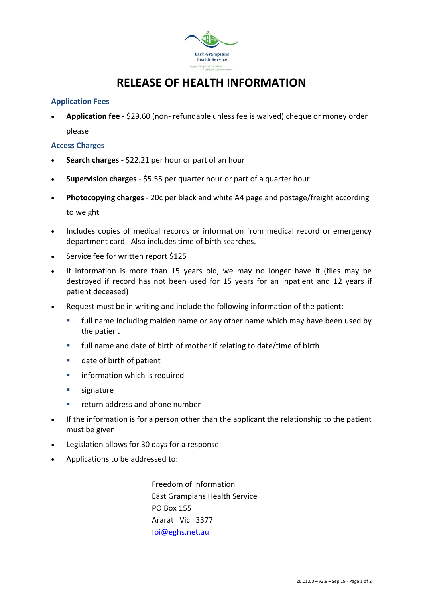

## **RELEASE OF HEALTH INFORMATION**

## **Application Fees**

 **Application fee** - \$29.60 (non- refundable unless fee is waived) cheque or money order please

## **Access Charges**

- **Search charges** \$22.21 per hour or part of an hour
- **Supervision charges** \$5.55 per quarter hour or part of a quarter hour
- **Photocopying charges** 20c per black and white A4 page and postage/freight according to weight
- Includes copies of medical records or information from medical record or emergency department card. Also includes time of birth searches.
- Service fee for written report \$125
- If information is more than 15 years old, we may no longer have it (files may be destroyed if record has not been used for 15 years for an inpatient and 12 years if patient deceased)
- Request must be in writing and include the following information of the patient:
	- full name including maiden name or any other name which may have been used by the patient
	- full name and date of birth of mother if relating to date/time of birth
	- date of birth of patient
	- **EXECUTE:** information which is required
	- signature
	- **F** return address and phone number
- If the information is for a person other than the applicant the relationship to the patient must be given
- Legislation allows for 30 days for a response
- Applications to be addressed to:

Freedom of information East Grampians Health Service PO Box 155 Ararat Vic 3377 [foi@eghs.net.au](mailto:foi@eghs.net.au)